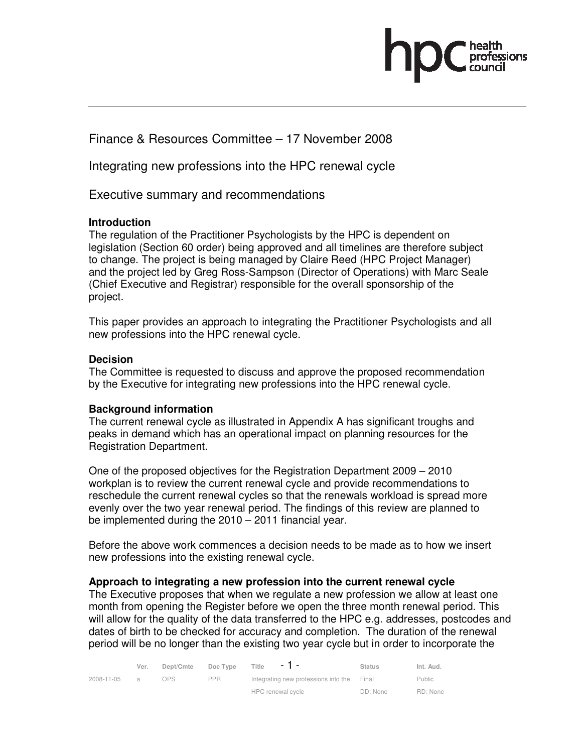Finance & Resources Committee – 17 November 2008

Integrating new professions into the HPC renewal cycle

# Executive summary and recommendations

## **Introduction**

The regulation of the Practitioner Psychologists by the HPC is dependent on legislation (Section 60 order) being approved and all timelines are therefore subject to change. The project is being managed by Claire Reed (HPC Project Manager) and the project led by Greg Ross-Sampson (Director of Operations) with Marc Seale (Chief Executive and Registrar) responsible for the overall sponsorship of the project.

This paper provides an approach to integrating the Practitioner Psychologists and all new professions into the HPC renewal cycle.

# **Decision**

The Committee is requested to discuss and approve the proposed recommendation by the Executive for integrating new professions into the HPC renewal cycle.

## **Background information**

The current renewal cycle as illustrated in Appendix A has significant troughs and peaks in demand which has an operational impact on planning resources for the Registration Department.

One of the proposed objectives for the Registration Department 2009 – 2010 workplan is to review the current renewal cycle and provide recommendations to reschedule the current renewal cycles so that the renewals workload is spread more evenly over the two year renewal period. The findings of this review are planned to be implemented during the 2010 – 2011 financial year.

Before the above work commences a decision needs to be made as to how we insert new professions into the existing renewal cycle.

## **Approach to integrating a new profession into the current renewal cycle**

The Executive proposes that when we regulate a new profession we allow at least one month from opening the Register before we open the three month renewal period. This will allow for the quality of the data transferred to the HPC e.g. addresses, postcodes and dates of birth to be checked for accuracy and completion. The duration of the renewal period will be no longer than the existing two year cycle but in order to incorporate the

|            | Ver.           | Dept/Cmte | Doc Type   | Title<br>$-1$ $-$<br><b>Status</b>         | Int. Aud.     |
|------------|----------------|-----------|------------|--------------------------------------------|---------------|
| 2008-11-05 | $\overline{a}$ | NPS.      | <b>PPR</b> | Integrating new professions into the Final | <b>Public</b> |
|            |                |           |            | HPC renewal cycle<br>DD: None              | RD: None      |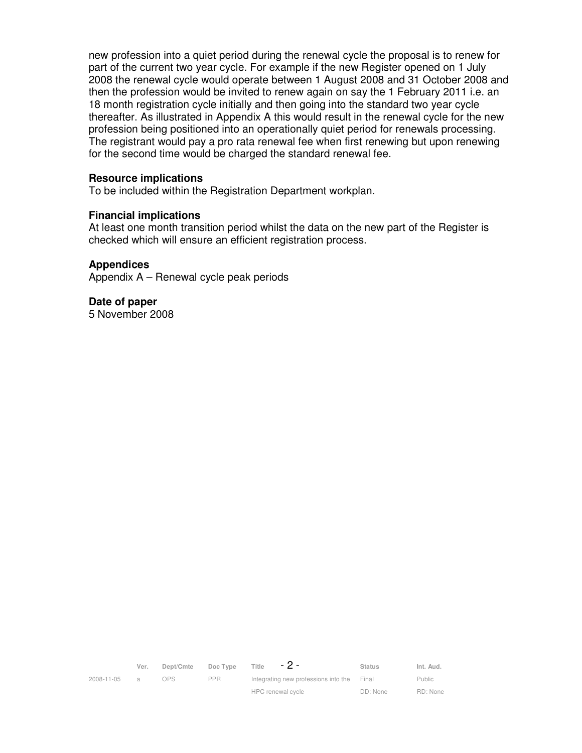new profession into a quiet period during the renewal cycle the proposal is to renew for part of the current two year cycle. For example if the new Register opened on 1 July 2008 the renewal cycle would operate between 1 August 2008 and 31 October 2008 and then the profession would be invited to renew again on say the 1 February 2011 i.e. an 18 month registration cycle initially and then going into the standard two year cycle thereafter. As illustrated in Appendix A this would result in the renewal cycle for the new profession being positioned into an operationally quiet period for renewals processing. The registrant would pay a pro rata renewal fee when first renewing but upon renewing for the second time would be charged the standard renewal fee.

#### **Resource implications**

To be included within the Registration Department workplan.

#### **Financial implications**

At least one month transition period whilst the data on the new part of the Register is checked which will ensure an efficient registration process.

#### **Appendices**

Appendix A – Renewal cycle peak periods

**Date of paper**  5 November 2008

|            | Ver.           | Dept/Cmte | Doc Type   | - 2 -<br>Title                             | <b>Status</b> | Int. Aud. |
|------------|----------------|-----------|------------|--------------------------------------------|---------------|-----------|
| 2008-11-05 | $\overline{a}$ | OPS.      | <b>PPR</b> | Integrating new professions into the Final |               | Public    |
|            |                |           |            | HPC renewal cycle                          | DD: None      | RD: None  |